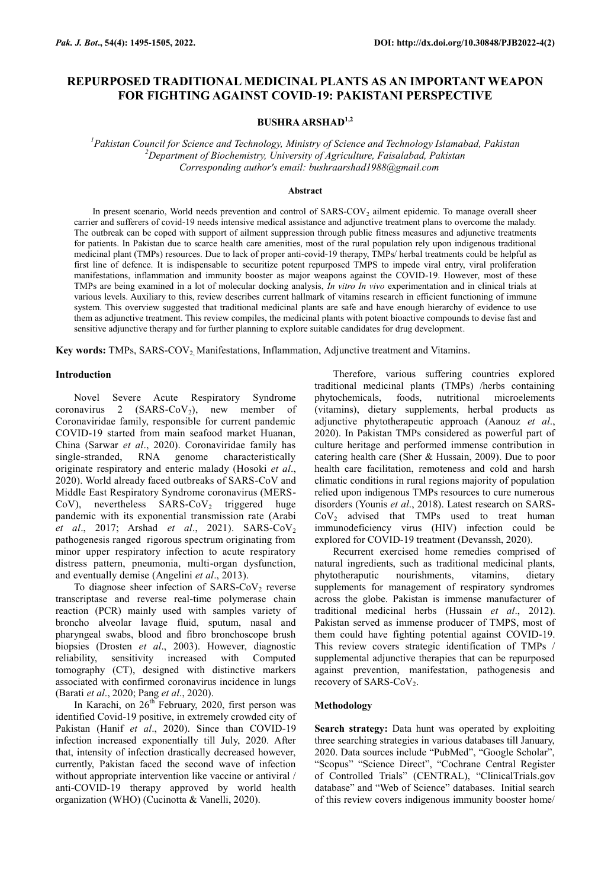# **REPURPOSED TRADITIONAL MEDICINAL PLANTS AS AN IMPORTANT WEAPON FOR FIGHTING AGAINST COVID-19: PAKISTANI PERSPECTIVE**

# **BUSHRA ARSHAD1,2**

*<sup>1</sup>Pakistan Council for Science and Technology, Ministry of Science and Technology Islamabad, Pakistan <sup>2</sup>Department of Biochemistry, University of Agriculture, Faisalabad, Pakistan Corresponding author's email: bushraarshad1988@gmail.com*

#### **Abstract**

In present scenario, World needs prevention and control of SARS-COV<sub>2</sub> ailment epidemic. To manage overall sheer carrier and sufferers of covid-19 needs intensive medical assistance and adjunctive treatment plans to overcome the malady. The outbreak can be coped with support of ailment suppression through public fitness measures and adjunctive treatments for patients. In Pakistan due to scarce health care amenities, most of the rural population rely upon indigenous traditional medicinal plant (TMPs) resources. Due to lack of proper anti-covid-19 therapy, TMPs/ herbal treatments could be helpful as first line of defence. It is indispensable to securitize potent repurposed TMPS to impede viral entry, viral proliferation manifestations, inflammation and immunity booster as major weapons against the COVID-19. However, most of these TMPs are being examined in a lot of molecular docking analysis, *In vitro In vivo* experimentation and in clinical trials at various levels. Auxiliary to this, review describes current hallmark of vitamins research in efficient functioning of immune system. This overview suggested that traditional medicinal plants are safe and have enough hierarchy of evidence to use them as adjunctive treatment. This review compiles, the medicinal plants with potent bioactive compounds to devise fast and sensitive adjunctive therapy and for further planning to explore suitable candidates for drug development.

**Key words:** TMPs, SARS-COV2, Manifestations, Inflammation, Adjunctive treatment and Vitamins.

### **Introduction**

Novel Severe Acute Respiratory Syndrome coronavirus 2  $(SARS-CoV<sub>2</sub>)$ , new member of Coronaviridae family, responsible for current pandemic COVID-19 started from main seafood market Huanan, China (Sarwar *et al*., 2020). Coronaviridae family has RNA genome characteristically originate respiratory and enteric malady (Hosoki *et al*., 2020). World already faced outbreaks of SARS-CoV and Middle East Respiratory Syndrome coronavirus (MERS-CoV), nevertheless SARS-CoV<sub>2</sub> triggered huge pandemic with its exponential transmission rate (Arabi *et al.*, 2017; Arshad *et al.*, 2021). SARS-CoV<sub>2</sub> pathogenesis ranged rigorous spectrum originating from minor upper respiratory infection to acute respiratory distress pattern, pneumonia, multi-organ dysfunction, and eventually demise (Angelini *et al*., 2013).

To diagnose sheer infection of SARS-CoV<sub>2</sub> reverse transcriptase and reverse real-time polymerase chain reaction (PCR) mainly used with samples variety of broncho alveolar lavage fluid, sputum, nasal and pharyngeal swabs, blood and fibro bronchoscope brush biopsies (Drosten *et al*., 2003). However, diagnostic reliability, sensitivity increased with Computed tomography (CT), designed with distinctive markers associated with confirmed coronavirus incidence in lungs (Barati *et al*., 2020; Pang *et al*., 2020).

In Karachi, on  $26^{th}$  February, 2020, first person was identified Covid-19 positive, in extremely crowded city of Pakistan (Hanif *et al*., 2020). Since than COVID-19 infection increased exponentially till July, 2020. After that, intensity of infection drastically decreased however, currently, Pakistan faced the second wave of infection without appropriate intervention like vaccine or antiviral / anti-COVID-19 therapy approved by world health organization (WHO) (Cucinotta & Vanelli, 2020).

Therefore, various suffering countries explored traditional medicinal plants (TMPs) /herbs containing phytochemicals, foods, nutritional microelements (vitamins), dietary supplements, herbal products as adjunctive phytotherapeutic approach (Aanouz *et al*., 2020). In Pakistan TMPs considered as powerful part of culture heritage and performed immense contribution in catering health care (Sher & Hussain, 2009). Due to poor health care facilitation, remoteness and cold and harsh climatic conditions in rural regions majority of population relied upon indigenous TMPs resources to cure numerous disorders (Younis *et al*., 2018). Latest research on SARS- $CoV<sub>2</sub>$  advised that TMPs used to treat human immunodeficiency virus (HIV) infection could be explored for COVID-19 treatment (Devanssh, 2020).

Recurrent exercised home remedies comprised of natural ingredients, such as traditional medicinal plants, phytotheraputic nourishments, vitamins, dietary supplements for management of respiratory syndromes across the globe. Pakistan is immense manufacturer of traditional medicinal herbs (Hussain *et al*., 2012). Pakistan served as immense producer of TMPS, most of them could have fighting potential against COVID-19. This review covers strategic identification of TMPs / supplemental adjunctive therapies that can be repurposed against prevention, manifestation, pathogenesis and recovery of SARS-CoV<sub>2</sub>.

#### **Methodology**

Search strategy: Data hunt was operated by exploiting three searching strategies in various databases till January, 2020. Data sources include "PubMed", "Google Scholar", "Scopus" "Science Direct", "Cochrane Central Register of Controlled Trials" (CENTRAL), "ClinicalTrials.gov database" and "Web of Science" databases. Initial search of this review covers indigenous immunity booster home/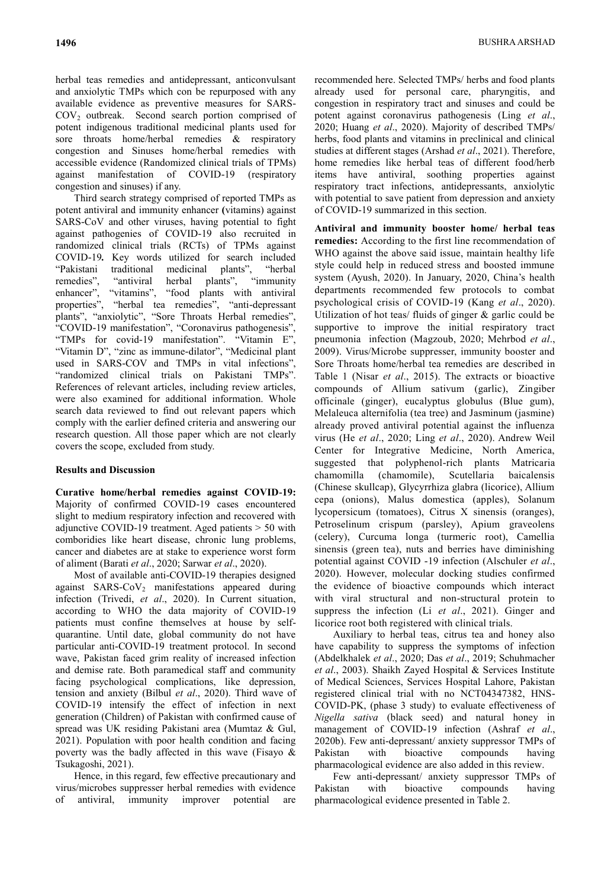herbal teas remedies and antidepressant, anticonvulsant and anxiolytic TMPs which con be repurposed with any available evidence as preventive measures for SARS-COV<sub>2</sub> outbreak. Second search portion comprised of potent indigenous traditional medicinal plants used for sore throats home/herbal remedies & respiratory congestion and Sinuses home/herbal remedies with accessible evidence (Randomized clinical trials of TPMs) against manifestation of COVID-19 (respiratory congestion and sinuses) if any.

Third search strategy comprised of reported TMPs as potent antiviral and immunity enhancer **(**vitamins) against SARS-CoV and other viruses, having potential to fight against pathogenies of COVID-19 also recruited in randomized clinical trials (RCTs) of TPMs against COVID-19*.* Key words utilized for search included "Pakistani traditional medicinal plants", "herbal remedies", "antiviral herbal plants", "immunity enhancer", "vitamins", "food plants with antiviral properties", "herbal tea remedies", "anti-depressant plants", "anxiolytic", "Sore Throats Herbal remedies", "COVID-19 manifestation", "Coronavirus pathogenesis", "TMPs for covid-19 manifestation". "Vitamin E", "Vitamin D", "zinc as immune-dilator", "Medicinal plant used in SARS-COV and TMPs in vital infections", "randomized clinical trials on Pakistani TMPs". References of relevant articles, including review articles, were also examined for additional information. Whole search data reviewed to find out relevant papers which comply with the earlier defined criteria and answering our research question. All those paper which are not clearly covers the scope, excluded from study.

## **Results and Discussion**

**Curative home/herbal remedies against COVID-19:** Majority of confirmed COVID-19 cases encountered slight to medium respiratory infection and recovered with adjunctive COVID-19 treatment. Aged patients > 50 with comboridies like heart disease, chronic lung problems, cancer and diabetes are at stake to experience worst form of aliment (Barati *et al*., 2020; Sarwar *et al*., 2020).

Most of available anti-COVID-19 therapies designed against  $SARS-CoV<sub>2</sub>$  manifestations appeared during infection (Trivedi, *et al*., 2020). In Current situation, according to WHO the data majority of COVID-19 patients must confine themselves at house by selfquarantine. Until date, global community do not have particular anti-COVID-19 treatment protocol. In second wave, Pakistan faced grim reality of increased infection and demise rate. Both paramedical staff and community facing psychological complications, like depression, tension and anxiety (Bilbul *et al*., 2020). Third wave of COVID-19 intensify the effect of infection in next generation (Children) of Pakistan with confirmed cause of spread was UK residing Pakistani area (Mumtaz & Gul, 2021). Population with poor health condition and facing poverty was the badly affected in this wave (Fisayo  $\&$ Tsukagoshi, 2021).

Hence, in this regard, few effective precautionary and virus/microbes suppresser herbal remedies with evidence of antiviral, immunity improver potential are

recommended here. Selected TMPs/ herbs and food plants already used for personal care, pharyngitis, and congestion in respiratory tract and sinuses and could be potent against coronavirus pathogenesis (Ling *et al*., 2020; Huang *et al*., 2020). Majority of described TMPs/ herbs, food plants and vitamins in preclinical and clinical studies at different stages (Arshad *et al*., 2021). Therefore, home remedies like herbal teas of different food/herb items have antiviral, soothing properties against respiratory tract infections, antidepressants, anxiolytic with potential to save patient from depression and anxiety of COVID-19 summarized in this section.

**Antiviral and immunity booster home/ herbal teas remedies:** According to the first line recommendation of WHO against the above said issue, maintain healthy life style could help in reduced stress and boosted immune system (Ayush, 2020). In January, 2020, China's health departments recommended few protocols to combat psychological crisis of COVID-19 (Kang *et al*., 2020). Utilization of hot teas/ fluids of ginger & garlic could be supportive to improve the initial respiratory tract pneumonia infection (Magzoub, 2020; Mehrbod *et al*., 2009). Virus/Microbe suppresser, immunity booster and Sore Throats home/herbal tea remedies are described in Table 1 (Nisar *et al*., 2015). The extracts or bioactive compounds of Allium sativum (garlic), Zingiber officinale (ginger), eucalyptus globulus (Blue gum), Melaleuca alternifolia (tea tree) and Jasminum (jasmine) already proved antiviral potential against the influenza virus (He *et al*., 2020; Ling *et al*., 2020). Andrew Weil Center for Integrative Medicine, North America, suggested that polyphenol-rich plants Matricaria chamomilla (chamomile), Scutellaria baicalensis (Chinese skullcap), Glycyrrhiza glabra (licorice), Allium cepa (onions), Malus domestica (apples), Solanum lycopersicum (tomatoes), Citrus X sinensis (oranges), Petroselinum crispum (parsley), Apium graveolens (celery), Curcuma longa (turmeric root), Camellia sinensis (green tea), nuts and berries have diminishing potential against COVID -19 infection (Alschuler *et al*., 2020). However, molecular docking studies confirmed the evidence of bioactive compounds which interact with viral structural and non-structural protein to suppress the infection (Li *et al*., 2021). Ginger and licorice root both registered with clinical trials.

Auxiliary to herbal teas, citrus tea and honey also have capability to suppress the symptoms of infection (Abdelkhalek *et al*., 2020; Das *et al*., 2019; Schuhmacher *et al*., 2003). Shaikh Zayed Hospital & Services Institute of Medical Sciences, Services Hospital Lahore, Pakistan registered clinical trial with no NCT04347382, HNS-COVID-PK, (phase 3 study) to evaluate effectiveness of *Nigella sativa* (black seed) and natural honey in management of COVID-19 infection (Ashraf *et al*., 2020b). Few anti-depressant/ anxiety suppressor TMPs of Pakistan with bioactive compounds having pharmacological evidence are also added in this review.

Few anti-depressant/ anxiety suppressor TMPs of Pakistan with bioactive compounds having pharmacological evidence presented in Table 2.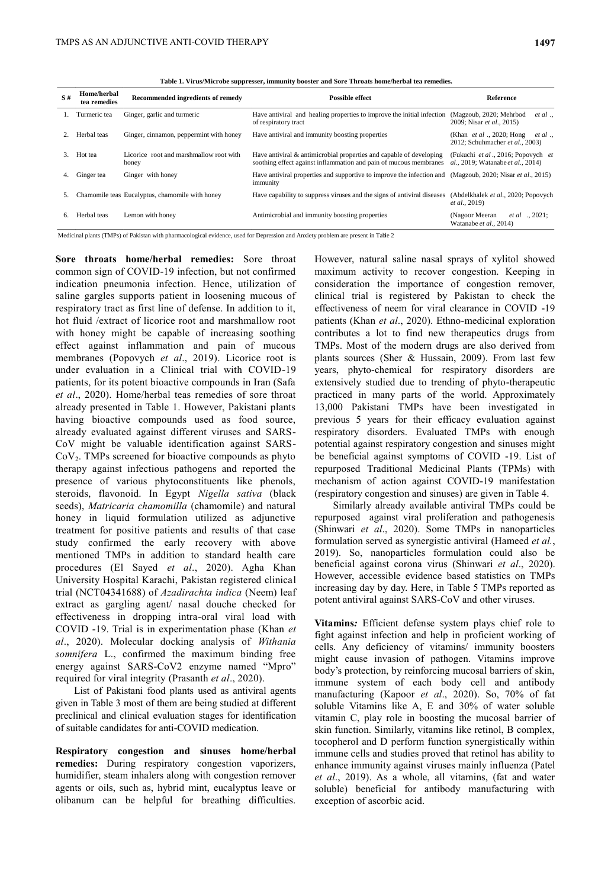**Table 1. Virus/Microbe suppresser, immunity booster and Sore Throats home/herbal tea remedies.**

| S# | Home/herbal<br>tea remedies | Recommended ingredients of remedy                | <b>Possible effect</b>                                                                                                                   | Reference                                                                     |
|----|-----------------------------|--------------------------------------------------|------------------------------------------------------------------------------------------------------------------------------------------|-------------------------------------------------------------------------------|
|    | Turmeric tea                | Ginger, garlic and turmeric                      | Have antiviral and healing properties to improve the initial infection<br>of respiratory tract                                           | (Magzoub, 2020; Mehrbod<br>et al.<br>2009; Nisar et al., 2015)                |
|    | Herbal teas                 | Ginger, cinnamon, peppermint with honey          | Have antiviral and immunity boosting properties                                                                                          | (Khan <i>et al</i> ., 2020; Hong<br>et al.<br>2012; Schuhmacher et al., 2003) |
| 3. | Hot tea                     | Licorice root and marshmallow root with<br>honey | Have antiviral & antimicrobial properties and capable of developing<br>soothing effect against inflammation and pain of mucous membranes | (Fukuchi et al., 2016; Popovych et<br>al., 2019; Watanabe et al., 2014)       |
| 4. | Ginger tea                  | Ginger with honey                                | Have antiviral properties and supportive to improve the infection and (Magzoub, 2020; Nisar et al., 2015)<br>immunity                    |                                                                               |
| 5. |                             | Chamomile teas Eucalyptus, chamomile with honey  | Have capability to suppress viruses and the signs of antiviral diseases                                                                  | (Abdelkhalek et al., 2020; Popovych<br><i>et al.</i> , 2019)                  |
| 6. | Herbal teas                 | Lemon with honey                                 | Antimicrobial and immunity boosting properties                                                                                           | <i>et al</i> 2021:<br>(Nagoor Meeran)<br>Watanabe et al., 2014)               |

Medicinal plants (TMPs) of Pakistan with pharmacological evidence, used for Depression and Anxiety problem are present in Table 2

**Sore throats home/herbal remedies:** Sore throat common sign of COVID-19 infection, but not confirmed indication pneumonia infection. Hence, utilization of saline gargles supports patient in loosening mucous of respiratory tract as first line of defense. In addition to it, hot fluid /extract of licorice root and marshmallow root with honey might be capable of increasing soothing effect against inflammation and pain of mucous membranes (Popovych *et al*., 2019). Licorice root is under evaluation in a Clinical trial with COVID-19 patients, for its potent bioactive compounds in Iran (Safa *et al*., 2020). Home/herbal teas remedies of sore throat already presented in Table 1. However, Pakistani plants having bioactive compounds used as food source, already evaluated against different viruses and SARS-CoV might be valuable identification against SARS-CoV2. TMPs screened for bioactive compounds as phyto therapy against infectious pathogens and reported the presence of various phytoconstituents like phenols, steroids, flavonoid. In Egypt *Nigella sativa* (black seeds), *Matricaria chamomilla* (chamomile) and natural honey in liquid formulation utilized as adjunctive treatment for positive patients and results of that case study confirmed the early recovery with above mentioned TMPs in addition to standard health care procedures (El Sayed *et al*., 2020). Agha Khan University Hospital Karachi, Pakistan registered clinical trial (NCT04341688) of *Azadirachta indica* (Neem) leaf extract as gargling agent/ nasal douche checked for effectiveness in dropping intra-oral viral load with COVID -19. Trial is in experimentation phase (Khan *et al*., 2020). Molecular docking analysis of *Withania somnifera* L., confirmed the maximum binding free energy against SARS-CoV2 enzyme named "Mpro" required for viral integrity (Prasanth *et al*., 2020).

List of Pakistani food plants used as antiviral agents given in Table 3 most of them are being studied at different preclinical and clinical evaluation stages for identification of suitable candidates for anti-COVID medication.

**Respiratory congestion and sinuses home/herbal remedies:** During respiratory congestion vaporizers, humidifier, steam inhalers along with congestion remover agents or oils, such as, hybrid mint, eucalyptus leave or olibanum can be helpful for breathing difficulties.

However, natural saline nasal sprays of xylitol showed maximum activity to recover congestion. Keeping in consideration the importance of congestion remover, clinical trial is registered by Pakistan to check the effectiveness of neem for viral clearance in COVID -19 patients (Khan *et al*., 2020). Ethno-medicinal exploration contributes a lot to find new therapeutics drugs from TMPs. Most of the modern drugs are also derived from plants sources (Sher & Hussain, 2009). From last few years, phyto-chemical for respiratory disorders are extensively studied due to trending of phyto-therapeutic practiced in many parts of the world. Approximately 13,000 Pakistani TMPs have been investigated in previous 5 years for their efficacy evaluation against respiratory disorders. Evaluated TMPs with enough potential against respiratory congestion and sinuses might be beneficial against symptoms of COVID -19. List of repurposed Traditional Medicinal Plants (TPMs) with mechanism of action against COVID-19 manifestation (respiratory congestion and sinuses) are given in Table 4.

Similarly already available antiviral TMPs could be repurposed against viral proliferation and pathogenesis (Shinwari *et al*., 2020). Some TMPs in nanoparticles formulation served as synergistic antiviral (Hameed *et al.*, 2019). So, nanoparticles formulation could also be beneficial against corona virus (Shinwari *et al*., 2020). However, accessible evidence based statistics on TMPs increasing day by day. Here, in Table 5 TMPs reported as potent antiviral against SARS-CoV and other viruses.

**Vitamins***:* Efficient defense system plays chief role to fight against infection and help in proficient working of cells. Any deficiency of vitamins/ immunity boosters might cause invasion of pathogen. Vitamins improve body's protection, by reinforcing mucosal barriers of skin, immune system of each body cell and antibody manufacturing (Kapoor *et al*., 2020). So, 70% of fat soluble Vitamins like A, E and 30% of water soluble vitamin C, play role in boosting the mucosal barrier of skin function. Similarly, vitamins like retinol, B complex, tocopherol and D perform function synergistically within immune cells and studies proved that retinol has ability to enhance immunity against viruses mainly influenza (Patel *et al*., 2019). As a whole, all vitamins, (fat and water soluble) beneficial for antibody manufacturing with exception of ascorbic acid.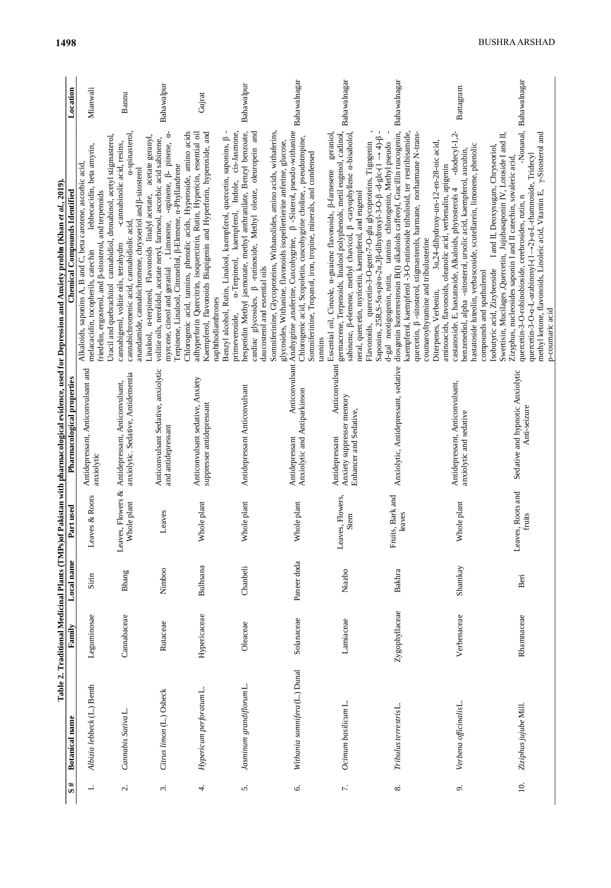| Antidepressant, Anticonvulsant and<br>Pharmacological properties<br>Leaves & Roots<br>Part used<br>Local name<br>Sirin<br>Leguminosae<br>Family<br>Albizia lebbeck (L.) Benth<br><b>Botanical</b> name |  | Table 2. Traditional Medicinal Plants (TMPs)of Pakistan with pharmacological evidence, used for Depression and Anxiety proble (Khan et al., 2019). |  | lebbecacidin, beta amyrin,<br>Alkaloids, saponins A, B and C, beta carotene, ascorbic acid,<br><b>Chemical Compounds Identified</b><br>melacacidin, tocopherils, catechin                                                                                                                                                                                                                                                          | Location<br>Mianwali   |
|--------------------------------------------------------------------------------------------------------------------------------------------------------------------------------------------------------|--|----------------------------------------------------------------------------------------------------------------------------------------------------|--|------------------------------------------------------------------------------------------------------------------------------------------------------------------------------------------------------------------------------------------------------------------------------------------------------------------------------------------------------------------------------------------------------------------------------------|------------------------|
| anxiolytic. Sedative, Antidementia<br>Antidepressant, Anticonvulsant,<br>anxiolytic<br>res, Flowers &<br>Whole plant<br>Leav<br>Bhang<br>Cannabaceae<br>Cannabis Sativa L.                             |  |                                                                                                                                                    |  | a-spinasterol,<br>Uracil and quebrachitol cannabidiol, dronabinol, acetyl stigmasterol,<br>-cannabinolic acid, resins,<br>anandamide, cannabichromene, chrysoeriol and $\beta$ -sitosterol<br>friedelin, ergosterol, and $\beta$ -sitosterol, and terpenoids<br>cannabichromenic acid, cannabidiolic acid,<br>cannabigerol, volitie oils, tetrahydro                                                                               | Bannu                  |
| Anticonvulsant Sedative, anxiolytic<br>and antidepressant<br>Leaves<br>Nimboo<br>Rutaceae<br>Citrus limon (L.) Osbeck                                                                                  |  |                                                                                                                                                    |  | -apinene, $\beta$ - pinene, a-<br>Linalool, a-terpineol, Flavonoids linalyl acetate, acetate geranyl,<br>volitie oils, nerolidol, acetate neryl, farnesol, ascorbic acid sabinene,<br>Terpinene, Linalool, Citronellol, $\beta$ -Elemene, a-Phyllandrene<br>, Limonene,<br>myrcene, cineol and geranial                                                                                                                            | Bahawalpur             |
| Anticonvulsant sedative, Anxiety<br>suppresser antidepressant<br>Whole plant<br>Bulhsana<br>Hypericaceae<br>Hypericum perforatum L.                                                                    |  |                                                                                                                                                    |  | Chlorogenic acid, tannins, phenolic acids, Hyperoside, amino acids<br>Kaempferol, flavonoids Biapigenin and Hyperforin, hyperoside, and<br>adhyperforin Quercitrin, isoquercitrin, Rutin, Hypericin, essential oil<br>naphthodianthrones                                                                                                                                                                                           | Gujrat                 |
| Antidepressant Anticonvulsant<br>Whole plant<br>Chanbeli<br>Oleaceae<br>Jasminum grandiflorum L.                                                                                                       |  |                                                                                                                                                    |  | cardiac glycosides, $\beta$ -rutinoside, Methyl oleate, oleuropein and<br>Indole, cis-Jasmone,<br>hesperidin Methyl jasmonate, methyl anthranilate, Benzyl benzoate,<br>Benzyl alcohol, Rutin, Linalool, kaempferol, quercetin, saponins, $\beta$<br>a-Terpineol, kaempferol,<br>daucosterol and essential oils<br>primeveroside,                                                                                                  | Bahawalpur             |
| Anxiolytic and Antiparkinson<br>Antidepressant<br>Whole plant<br>Paneer doda<br>Solanaceae<br>Withania somnifera(L.) Dunal                                                                             |  |                                                                                                                                                    |  | Anticonvulsant Anahygrine, anaferine, Cuscohygrine, $\beta$ -Sisterol, pseudo-withanine<br>Somniferinine, Glycoproteins, Withanolides, amino acids, withaferins,<br>Chlorogenic acid, Scopoletin, cuscohygrine choline,, pseudotropine,<br>glycosides, Withanine, flavonoids isopellertierine anferine, glucose,<br>Somniferinine, Tropanol, iron, tropine, minerals, and condensed<br>tannins                                     | Bahawalnagar           |
| Anticonvulsant<br>Anxiety suppresser memory<br>Enhancer and Sedative,<br>Antidepressant<br>Leaves, Flowers,<br>Stem<br>Niazbo<br>Lamiaceae<br>Ocimum basilicum L.                                      |  |                                                                                                                                                    |  | germacrene, Terpenoids, linalool polyphenols, metil eugenol, cadinol,<br>geraniol,<br>sabinene, ß-elemene, methyl chavicol, ß -caryophyllene a-bisabolol,<br>Flavonoids, quercetin-3-O-gent-7-O-glu glycoproteins, Tigogenin<br>Essential oil, Cineole, a-guaiene flavonoids, ß-farnesene<br>neral, quercetin, myricetin, kaempferol, and eugenol                                                                                  | Bahawalnagar           |
| Anxiolytic, Antidepressant, sedative<br>its, Bark and<br>leaves<br>Ē<br>Bakhra<br>Zygophyllaceae<br>Tribulus terrestris <sub>L.</sub>                                                                  |  |                                                                                                                                                    |  | diosgenin Isoterrestrosin B(I) alkaloids caffeoyl, Gracillin ruscogenin,<br>kaempferol, kaempferol -3-O-rutinoside tribulosid, ter restribisamide,<br>quercetin, β-sitosterol, stigmasterols, harmane, norharmane N-trans-<br>Saponins, 25R, S-5 $\alpha$ -spiro-2 $\alpha$ , 3 $\beta$ -dihydroxyl-3-O- $\beta$ -d-glc- $(1 \rightarrow 4)$ - $\beta$<br>tamins chlorogenin, Methyl pseudo<br>d-gal neotigogenin, rutin,          | Bahawalnagar           |
| Antidepressant, Anticonvulsant,<br>anxiolytic and sedative<br>Whole plant<br>Shamkay<br>Verbenaceae<br>Verbena officinalisL.                                                                           |  |                                                                                                                                                    |  | $-dodecyl-1,2-$<br>3a,24-dihydroxy-urs-12-en-28-oic acid,<br>hastatoside luteolin, verbascoside, scutellarein, limonene, phenolic<br>benzenediol, alpha -sitosterol, ursolic acid, kaempferol, aucubin,<br>aminoacids, flavonoids, oleanolic acid, verbenalin, apigenin<br>castanoside. E, hastatoside, Alkaloids, phytosterols 4<br>coumaroyltyramine and tribulusterine<br>compounds and spathulenol<br>Diterpenes, Verbenin,    | Battagram              |
| Sedative and hypnotic Anxiolytic<br>Anti-seizure<br>res, Roots and<br>fruits<br>Lea<br>Beri<br>Rhamnaceae<br>Ziziphus jujube Mill.                                                                     |  |                                                                                                                                                    |  | methyl ketone, flavonoids, Linoleic acid, Vitamin E, y-Sitosterol and<br>Swertisin, Mucilages, Quercetin, Jujubasaponin IV, Lotoside I and II,<br>I and II, Deoxysugars, Chryseoriol,<br>quercetin-3-O-a-L-arabinosyl-(1→2)-a-L-rhamnoside, Tridecyl<br>Zizyphus, nucleosides saponin I and II catechin, sovaleric acid,<br>quercetin-3-O-robinobioside, cerebrosides, rutin, n<br>Isobutyric acid, Zizybeoside<br>p-coumaric acid | -Nonanal, Bahawalnagar |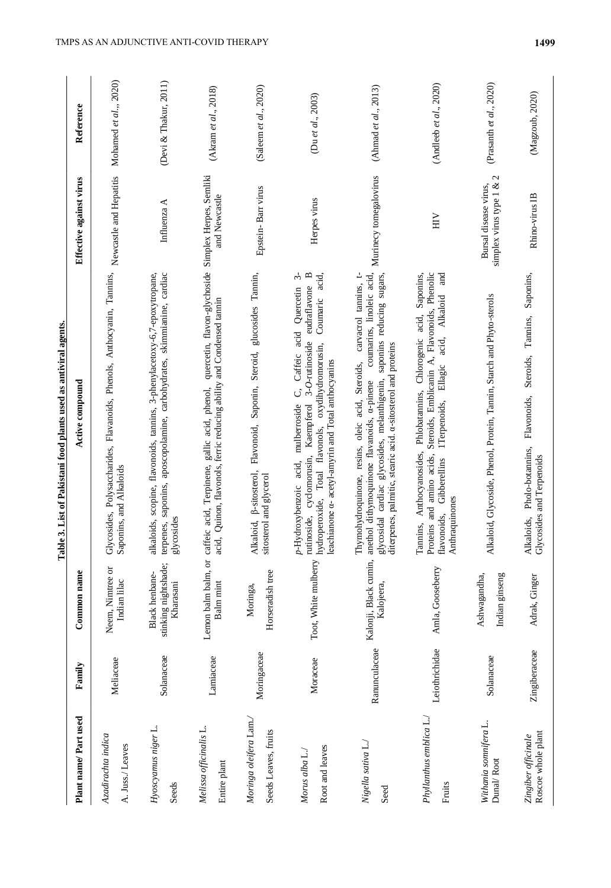|                                                |                |                                                     | 3. List of Pakistani food plants used as antiviral agents.<br>Table.                                                                                                                                                                                                                                                    |                                                                |                           |
|------------------------------------------------|----------------|-----------------------------------------------------|-------------------------------------------------------------------------------------------------------------------------------------------------------------------------------------------------------------------------------------------------------------------------------------------------------------------------|----------------------------------------------------------------|---------------------------|
| Plant name/Part used                           | Family         | Common name                                         | Active compound                                                                                                                                                                                                                                                                                                         | Effective against virus                                        | Reference                 |
| Azadirachta indica<br>A. Juss./ Leaves         | Meliaceae      | Neem, Nimtree or<br>Indian lilac                    | Glycosides, Polysaccharides, Flavanoids, Phenols, Anthocyanin, Tannins, Newcastle and Hepatitis<br>Saponins, and Alkaloids                                                                                                                                                                                              |                                                                | Mohamed et al.,, 2020)    |
| Hyoscyamus niger L.<br>Seeds                   | Solanaceae     | stinking nightshade;<br>Black henbane-<br>Kharasani | alkaloids, scopine, flavonoids, tannins, 3-phenylacetoxy-6,7-epoxytropane,<br>terpenes, saponins, aposcopolamine, carbohydrates, skimmianine, cardiac<br>glycosides                                                                                                                                                     | Influenza A                                                    | (Devi & Thakur, 2011)     |
| Melissa officinalis L.<br>Entire plant         | Lamiaceae      | Balm mint                                           | quercetin, flavon-glychoside Simplex Herpes, Semliki<br>Quinon, flavonols, ferric reducing ability and Condensed tamin<br>Lemon balm balm, or caffeic acid, Terpinene, gallic acid, phenol,<br>acid,                                                                                                                    | and Newcastle                                                  | (Akram et al., 2018)      |
| Moringa oleifera Lam./<br>Seeds Leaves, fruits | Moringaceae    | Horseradish tree<br>Moringa,                        | Alkaloid, ß-sitosterol, Flavonoid, Saponin, Steroid, glucosides Tannin,<br>sitosterol and glycerol                                                                                                                                                                                                                      | Epstein-Barr virus                                             | (Saleem et al., 2020)     |
| Root and leaves<br>Morus alba L./              | Moraceae       | Toot, White mulberry                                | ς,<br>$\mathbf{p}$<br>Coumaric acid,<br>eudraflavone<br>C, Caffeic acid Quercetin<br>rutinoside, cyclomorusin, Kaempferol 3-O-rutinoside<br>hydroperoxide, Total flavonols, oxydihydromorusin,<br>leachianone a- acetyl-amyrin and Total anthocyanins<br>mulberroside<br>p-Hydroxybenzoic acid,                         | Herpes virus                                                   | (Du et al., 2003)         |
| Nigella sativa L./<br>Seed                     | Ranunculaceae  | Kalojeera,                                          | carvacrol tannins, t-<br>coumarins, linoleic acid,<br>glycosidal cardiac glycosides, melanthigenin, saponins reducing sugars,<br>diterpenes, palmitic, stearic acid. a-sitosterol and proteins<br>Thymohydroquinone, resins, oleic acid, Steroids,<br>Kalonji, Black cumin, anethol dithymoquinone flavanoids, a-pinene | Murinecy tomegalovirus                                         | (Ahmad et al., $2013$ )   |
| Phyllanthus emblica L./<br>Fruits              | Leiothrichidae | Amla, Gooseberry                                    | and<br>Steroids, Emblicanin A, Flavonoids, Phenolic<br>Saponins,<br>Alkaloid<br>Tannins, Anthocyanosides, Phlobatannins, Chlorogenic acid,<br>acid,<br>Ellagic<br>1Terpenoids,<br>Proteins and amino acids,<br>Gibberellins<br>Anthraquinones<br>flavonoids,                                                            | $\sum_{i=1}^{n}$                                               | (Andleeb et al., $2020$ ) |
| Withania somnifera L.<br>Dunal/Root            | Solanaceae     | Ashwagandha,<br>Indian ginseng                      | Alkaloid, Glycoside, Phenol, Protein, Tannin, Starch and Phyto-sterols                                                                                                                                                                                                                                                  | $\mathbf 2$<br>simplex virus type 1 &<br>Bursal disease virus, | (Prasanth et al., 2020)   |
| Roscoe whole plant<br>Zingiber officinale      | Zingiberaceae  | Adrak, Ginger                                       | Steroids, Tannins, Saponins,<br>Flavonoids,<br>Alkaloids, Pholo-botannins,<br>Glycosides and Terpenoids                                                                                                                                                                                                                 | Rhino-virus IB                                                 | (Magzoub, 2020)           |

 $\cdot$ J. . ł, é, l,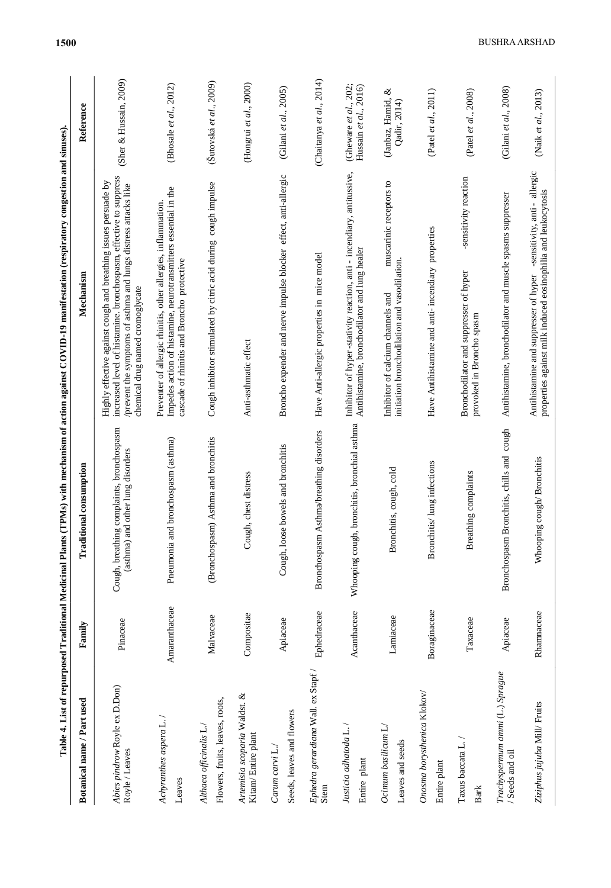| Table 4. List of repurposed Traditional Medicinal Plants   |               |                                                                                     | (TPMs) with mechanism of action against COVID-19 manifestation (respiratory congestion and sinuses).                                                                                                                                        |                                                |
|------------------------------------------------------------|---------------|-------------------------------------------------------------------------------------|---------------------------------------------------------------------------------------------------------------------------------------------------------------------------------------------------------------------------------------------|------------------------------------------------|
| Botanical name / Part used                                 | Family        | <b>Traditional consumption</b>                                                      | Mechanism                                                                                                                                                                                                                                   | Reference                                      |
| Abies pindrow Royle ex D.Don)<br>Royle / Leaves            | Pinaceae      | ng complaints, bronchospasm<br>(asthma) and other lung disorders<br>Cough, breathin | increased level of histamine. bronchospasm, effective to suppress<br>Highly effective against cough and breathing issues persuade by<br>/prevent the symptoms of asthma and lungs distress attacks like<br>chemical drug named cromoglycate | (Sher & Hussain, 2009)                         |
| $Adry$ ranthes aspera L. /<br>Leaves                       | Amaranthaceae | Pneumonia and bronchospasm (asthma)                                                 | Impedes action of histamine, neurotransmitters essential in the<br>Preventer of allergic rhinitis, other allergies, inflammation.<br>cascade of rhinitis and Broncho protective                                                             | (Bhosale et al., 2012)                         |
| Flowers, fruits, leaves, roots,<br>Althaea officinalis L./ | Malvaceae     | (Bronchospasm) Asthma and bronchitis                                                | Cough inhibitor stimulated by citric acid during cough impulse                                                                                                                                                                              | (Šutovská et al., 2009)                        |
| Artemisia scoparia Waldst. &<br>Kitam/ Entire plant        | Compositae    | gh, chest distress<br>Š                                                             | Anti-asthmatic effect                                                                                                                                                                                                                       | (Hongrui et al., 2000)                         |
| Seeds, leaves and flowers<br>Carum carvi L./               | Apiaceae      | Cough, loose bowels and bronchitis                                                  | Broncho expender and nerve impulse blocker effect, anti-allergic                                                                                                                                                                            | (Gilani et al., 2005)                          |
| $E$ phedra gerardiana Wall. ex Stapf /<br>Stem             | Ephedraceae   | Asthma/breathing disorders<br>Bronchospasm                                          | Have Anti-allergic properties in mice model                                                                                                                                                                                                 | (Chaitanya et al., 2014)                       |
| Justicia adhatoda L.<br>Entire plant                       | Acanthaceae   | Whooping cough, bronchitis, bronchial asthma                                        | Inhibitor of hyper-stativity reaction, anti - incendiary, antitussive,<br>Antihistamine, bronchodilator and lung healer                                                                                                                     | (Gheware et al., 202;<br>Hussain et al., 2016) |
| $Ocimum$ basilicum $L$<br>Leaves and seeds                 | Lamiaceae     | Bronchitis, cough, cold                                                             | muscarinic receptors to<br>initiation bronchodilation and vasodilation<br>Inhibitor of calcium channels and                                                                                                                                 | ళ<br>(Janbaz, Hamid,<br>Qadir, 2014)           |
| Onosma borysthenica Klokov/<br>Entire plant                | Boraginaceae  | Bronchitis/ lung infections                                                         | Have Antihistamine and anti- incendiary properties                                                                                                                                                                                          | (Patel et al., 2011)                           |
| Taxus baccata L. /<br><b>Bark</b>                          | Тахасеае      | Breathing complaints                                                                | -sensitivity reaction<br>Bronchodilator and suppresser of hyper<br>provoked in Broncho spasm                                                                                                                                                | (Patel et al., 2008)                           |
| Trachyspermum ammi (L.) Sprague<br>/ Seeds and oil         | Apiaceae      | Bronchitis, chills and cough<br>Bronchospasm                                        | Antihistamine, bronchodilator and muscle spasms suppresser                                                                                                                                                                                  | (Gilani et al., 2008)                          |
| Ziziphus jujuba Mill/ Fruits                               | Rhamnaceae    | Whooping cough/Bronchitis                                                           | -sensitivity, anti-allergic<br>properties against milk induced eosinophilia and leukocytosis<br>Antihistamine and suppresser of hyper                                                                                                       | (Naik et al., 2013)                            |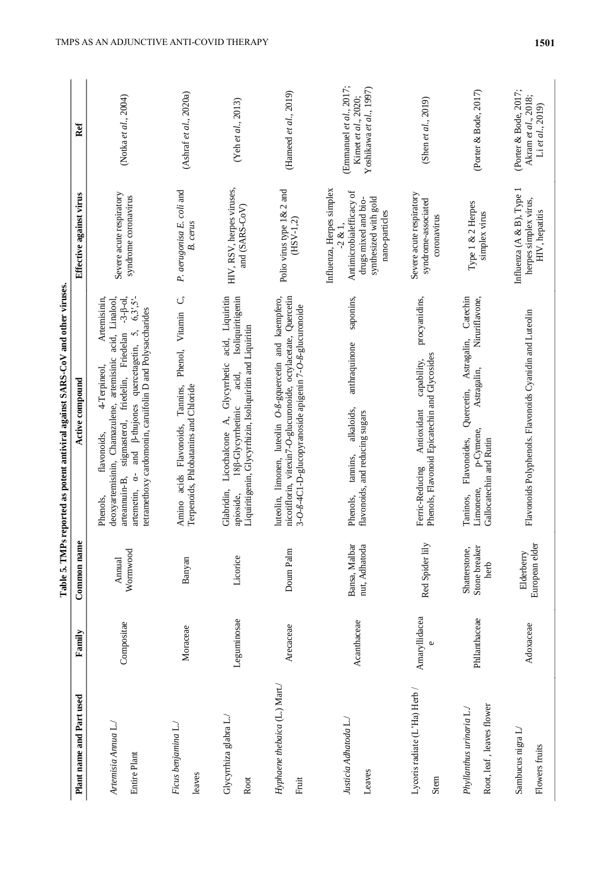|                                                       |               | Table 5. TMPs                          | reported as potent antiviral against SARS-CoV and other viruses                                                                                                                                                                                                                                                                       |                                                                                                                                      |                                                                           |
|-------------------------------------------------------|---------------|----------------------------------------|---------------------------------------------------------------------------------------------------------------------------------------------------------------------------------------------------------------------------------------------------------------------------------------------------------------------------------------|--------------------------------------------------------------------------------------------------------------------------------------|---------------------------------------------------------------------------|
| Plant name and Part used                              | Family        | Common name                            | Active compound                                                                                                                                                                                                                                                                                                                       | Effective against virus                                                                                                              | Ref                                                                       |
| Artemisia Annua L.<br>Entire Plant                    | Compositae    | Wormwood<br>Annual                     | Artemisinin,<br>deoxyartemisinin, Chamazulene, artemisinic acid, Linalool,<br>$-3-\beta$ -01,<br>$6,3',5'-$<br>tetramethoxy cardomonin, caruifolin D and Polysaccharides<br>5,<br>stigmasterol, friedelin, Friedelan<br>ß-thujones quercetagetin,<br>4-Terpineol,<br>flavonoids,<br>and<br>arteannuin-B,<br>artemetin, a-<br>Phenols. | Severe acute respiratory<br>syndrome coronavirus                                                                                     | (Notka et al., 2004)                                                      |
| Ficus benjamina L./<br>leaves                         | Moraceae      | Banyan                                 | $\circ$<br>Phenol, Vitamin<br>Terpenoids, Phlobatanins and Chloride<br>Tannins,<br>Amino acids Flavonoids,                                                                                                                                                                                                                            | P. aerugonisa E. coli and<br>B. cerus                                                                                                | (Ashraf et al., 2020a)                                                    |
| Glycyrrhiza glabra L./<br>Root                        | Leguminosae   | Licorice                               | acid, Liquiritin<br>Isoliquiritigenin<br>Liquiritigenin, Glycyrrhizin, Isoliquiritin and Liquiritin<br>Licochalcone A, Glycyrrhetic<br>acid,<br>18 <sup>8</sup> -Glycyrrhetinic<br>Glabridin,<br>apioside,                                                                                                                            | HIV, RSV, herpes viruses,<br>and (SARS-CoV)                                                                                          | (Yeh et al., 2013)                                                        |
| Hyphaene thebaica (L.) Mart./<br>Fruit                | Arecaceae     | Doum Palm                              | nicotiflorin, vitexin7-O-glucuronoide, octylacetate, Quercetin<br>luteolin, limonen, luteolin O-ß-gquercetin and kaempfero,<br>3-0-8-4C1-D-glucopyranoside apigenin 7-0-8-glucuronoide                                                                                                                                                | Polio virus type 1& 2 and<br>$(HSV-1,2)$                                                                                             | (Hameed et al., $2019$ )                                                  |
| Justicia Adhatoda L./<br>Leaves                       | Acanthaceae   | Bansa, Malbar<br>nut, Adhatoda         | saponins,<br>anthraquinone<br>alkaloids,<br>flavonoids, and reducing sugars<br>tannins.<br>Phenols.                                                                                                                                                                                                                                   | Influenza, Herpes simplex<br>Antimicrobialefficacy of<br>synthesized with gold<br>drugs mixed and bio-<br>nano-particles<br>$-2 & 1$ | (Emmanuel et al., 2017;<br>Yoshikawa et al., 1997)<br>Kimet et al., 2020; |
| Lycoris radiate (L'Ha) Herb /<br>Stem                 | Amaryllidacea | Red Spider lily                        | procyanidins,<br>Phenols, Flavonoid Epicatechin and Glycosides<br>capability,<br>Antioxidant<br>Ferric-Reducing                                                                                                                                                                                                                       | Severe acute respiratory<br>syndrome-associated<br>coronavirus                                                                       | (Shen et al., 2019)                                                       |
| Root, leaf, leaves flower<br>Phyllanthus urinaria L./ | Phllanthaceae | Stone breaker<br>Shatterstone,<br>herb | Catechin<br>Niruriflavone,<br>Astragalin,<br>Astragalin,<br>Quercetin,<br>p-Cymene,<br>Flavonoides,<br>Gallocatechin and Rutin<br>Limonene,<br>Taninos,                                                                                                                                                                               | Type 1 & 2 Herpes<br>simplex virus                                                                                                   | (Porter & Bode, 2017)                                                     |
| Sambucus nigra L<br>Flowers fruits                    | Adoxaceae     | European elder<br>Elderberry           | Flavonoids Polyphenols. Flavonoids Cyanidin and Luteolin                                                                                                                                                                                                                                                                              | Influenza (A & B), Type<br>herpes simplex virus,<br>HIV, hepatitis                                                                   | (Porter & Bode, 2017;<br>Akram et al., 2018;<br>Li et al., $2019$ )       |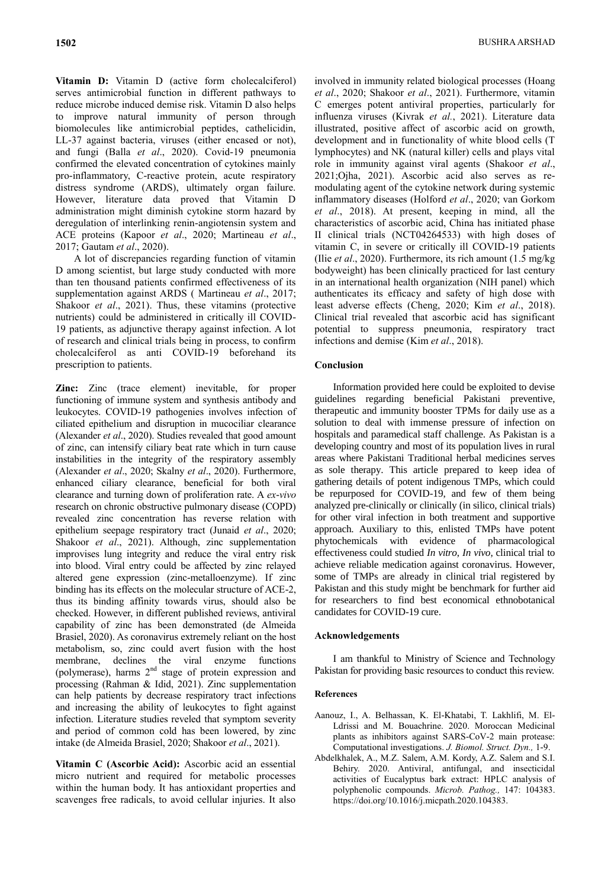**Vitamin D:** Vitamin D (active form cholecalciferol) serves antimicrobial function in different pathways to reduce microbe induced demise risk. Vitamin D also helps to improve natural immunity of person through biomolecules like antimicrobial peptides, cathelicidin, LL-37 against bacteria, viruses (either encased or not), and fungi (Balla *et al*., 2020). Covid-19 pneumonia confirmed the elevated concentration of cytokines mainly pro-inflammatory, C-reactive protein, acute respiratory distress syndrome (ARDS), ultimately organ failure. However, literature data proved that Vitamin D administration might diminish cytokine storm hazard by deregulation of interlinking renin-angiotensin system and ACE proteins (Kapoor *et al*., 2020; Martineau *et al*., 2017; Gautam *et al*., 2020).

A lot of discrepancies regarding function of vitamin D among scientist, but large study conducted with more than ten thousand patients confirmed effectiveness of its supplementation against ARDS ( Martineau *et al*., 2017; Shakoor *et al*., 2021). Thus, these vitamins (protective nutrients) could be administered in critically ill COVID-19 patients, as adjunctive therapy against infection. A lot of research and clinical trials being in process, to confirm cholecalciferol as anti COVID-19 beforehand its prescription to patients.

**Zinc:** Zinc (trace element) inevitable, for proper functioning of immune system and synthesis antibody and leukocytes. COVID-19 pathogenies involves infection of ciliated epithelium and disruption in mucociliar clearance (Alexander *et al*., 2020). Studies revealed that good amount of zinc, can intensify ciliary beat rate which in turn cause instabilities in the integrity of the respiratory assembly (Alexander *et al*., 2020; Skalny *et al*., 2020). Furthermore, enhanced ciliary clearance, beneficial for both viral clearance and turning down of proliferation rate. A *ex-vivo* research on chronic obstructive pulmonary disease (COPD) revealed zinc concentration has reverse relation with epithelium seepage respiratory tract (Junaid *et al*., 2020; Shakoor *et al*., 2021). Although, zinc supplementation improvises lung integrity and reduce the viral entry risk into blood. Viral entry could be affected by zinc relayed altered gene expression (zinc-metalloenzyme). If zinc binding has its effects on the molecular structure of ACE-2, thus its binding affinity towards virus, should also be checked. However, in different published reviews, antiviral capability of zinc has been demonstrated (de Almeida Brasiel, 2020). As coronavirus extremely reliant on the host metabolism, so, zinc could avert fusion with the host membrane, declines the viral enzyme functions (polymerase), harms  $2<sup>nd</sup>$  stage of protein expression and processing (Rahman & Idid, 2021). Zinc supplementation can help patients by decrease respiratory tract infections and increasing the ability of leukocytes to fight against infection. Literature studies reveled that symptom severity and period of common cold has been lowered, by zinc intake (de Almeida Brasiel, 2020; Shakoor *et al*., 2021).

**Vitamin C (Ascorbic Acid):** Ascorbic acid an essential micro nutrient and required for metabolic processes within the human body. It has antioxidant properties and scavenges free radicals, to avoid cellular injuries. It also

involved in immunity related biological processes (Hoang *et al*., 2020; Shakoor *et al*., 2021). Furthermore, vitamin C emerges potent antiviral properties, particularly for influenza viruses (Kivrak *et al.*, 2021). Literature data illustrated, positive affect of ascorbic acid on growth, development and in functionality of white blood cells (T lymphocytes) and NK (natural killer) cells and plays vital role in immunity against viral agents (Shakoor *et al*., 2021;Ojha, 2021). Ascorbic acid also serves as remodulating agent of the cytokine network during systemic inflammatory diseases (Holford *et al*., 2020; van Gorkom *et al*., 2018). At present, keeping in mind, all the characteristics of ascorbic acid, China has initiated phase II clinical trials (NCT04264533) with high doses of vitamin C, in severe or critically ill COVID-19 patients (Ilie *et al*., 2020). Furthermore, its rich amount (1.5 mg/kg bodyweight) has been clinically practiced for last century in an international health organization (NIH panel) which authenticates its efficacy and safety of high dose with least adverse effects (Cheng, 2020; Kim *et al*., 2018). Clinical trial revealed that ascorbic acid has significant potential to suppress pneumonia, respiratory tract infections and demise (Kim *et al*., 2018).

### **Conclusion**

Information provided here could be exploited to devise guidelines regarding beneficial Pakistani preventive, therapeutic and immunity booster TPMs for daily use as a solution to deal with immense pressure of infection on hospitals and paramedical staff challenge. As Pakistan is a developing country and most of its population lives in rural areas where Pakistani Traditional herbal medicines serves as sole therapy. This article prepared to keep idea of gathering details of potent indigenous TMPs, which could be repurposed for COVID-19, and few of them being analyzed pre-clinically or clinically (in silico, clinical trials) for other viral infection in both treatment and supportive approach. Auxiliary to this, enlisted TMPs have potent phytochemicals with evidence of pharmacological effectiveness could studied *In vitro*, *In vivo*, clinical trial to achieve reliable medication against coronavirus. However, some of TMPs are already in clinical trial registered by Pakistan and this study might be benchmark for further aid for researchers to find best economical ethnobotanical candidates for COVID-19 cure.

#### **Acknowledgements**

I am thankful to Ministry of Science and Technology Pakistan for providing basic resources to conduct this review.

#### **References**

- Aanouz, I., A. Belhassan, K. El-Khatabi, T. Lakhlifi, M. El-Ldrissi and M. Bouachrine. 2020. Moroccan Medicinal plants as inhibitors against SARS-CoV-2 main protease: Computational investigations. *J. Biomol. Struct. Dyn.,* 1-9.
- Abdelkhalek, A., M.Z. Salem, A.M. Kordy, A.Z. Salem and S.I. Behiry. 2020. Antiviral, antifungal, and insecticidal activities of Eucalyptus bark extract: HPLC analysis of polyphenolic compounds. *Microb. Pathog.,* 147: 104383. https://doi.org/10.1016/j.micpath.2020.104383.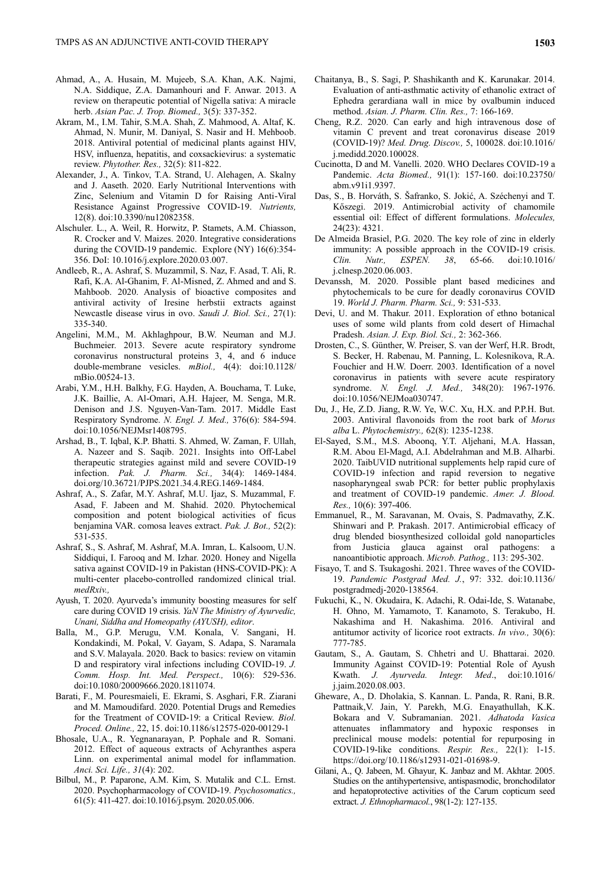- Ahmad, A., A. Husain, M. Mujeeb, S.A. Khan, A.K. Najmi, N.A. Siddique, Z.A. Damanhouri and F. Anwar. 2013. A review on therapeutic potential of Nigella sativa: A miracle herb. *Asian Pac. J. Trop. Biomed.,* 3(5): 337-352.
- Akram, M., I.M. Tahir, S.M.A. Shah, Z. Mahmood, A. Altaf, K. Ahmad, N. Munir, M. Daniyal, S. Nasir and H. Mehboob. 2018. Antiviral potential of medicinal plants against HIV, HSV, influenza, hepatitis, and coxsackievirus: a systematic review. *Phytother. Res.,* 32(5): 811-822.
- Alexander, J., A. Tinkov, T.A. Strand, U. Alehagen, A. Skalny and J. Aaseth. 2020. Early Nutritional Interventions with Zinc, Selenium and Vitamin D for Raising Anti-Viral Resistance Against Progressive COVID-19. *Nutrients,*  12(8). doi:10.3390/nu12082358.
- Alschuler. L., A. Weil, R. Horwitz, P. Stamets, A.M. Chiasson, R. Crocker and V. Maizes. 2020. Integrative considerations during the COVID-19 pandemic. Explore (NY) 16(6):354- 356. DoI: 10.1016/j.explore.2020.03.007.
- Andleeb, R., A. Ashraf, S. Muzammil, S. Naz, F. Asad, T. Ali, R. Rafi, K.A. Al-Ghanim, F. Al-Misned, Z. Ahmed and and S. Mahboob. 2020. Analysis of bioactive composites and antiviral activity of Iresine herbstii extracts against Newcastle disease virus in ovo. *Saudi J. Biol. Sci.,* 27(1): 335-340.
- Angelini, M.M., M. Akhlaghpour, B.W. Neuman and M.J. Buchmeier. 2013. Severe acute respiratory syndrome coronavirus nonstructural proteins 3, 4, and 6 induce double-membrane vesicles. *mBiol.,* 4(4): doi:10.1128/ mBio.00524-13.
- Arabi, Y.M., H.H. Balkhy, F.G. Hayden, A. Bouchama, T. Luke, J.K. Baillie, A. Al-Omari, A.H. Hajeer, M. Senga, M.R. Denison and J.S. Nguyen-Van-Tam. 2017. Middle East Respiratory Syndrome. *N. Engl. J. Med.,* 376(6): 584-594. doi:10.1056/NEJMsr1408795.
- Arshad, B., T. Iqbal, K.P. Bhatti. S. Ahmed, W. Zaman, F. Ullah, A. Nazeer and S. Saqib. 2021. Insights into Off-Label therapeutic strategies against mild and severe COVID-19 infection. *Pak. J. Pharm. Sci.,* 34(4): 1469-1484. doi.org/10.36721/PJPS.2021.34.4.REG.1469-1484.
- Ashraf, A., S. Zafar, M.Y. Ashraf, M.U. Ijaz, S. Muzammal, F. Asad, F. Jabeen and M. Shahid. 2020. Phytochemical composition and potent biological activities of ficus benjamina VAR. comosa leaves extract. *Pak. J. Bot.,* 52(2): 531-535.
- Ashraf, S., S. Ashraf, M. Ashraf, M.A. Imran, L. Kalsoom, U.N. Siddiqui, I. Farooq and M. Izhar. 2020. Honey and Nigella sativa against COVID-19 in Pakistan (HNS-COVID-PK): A multi-center placebo-controlled randomized clinical trial. medRxiv.
- Ayush, T. 2020. Ayurveda's immunity boosting measures for self care during COVID 19 crisis. *YaN The Ministry of Ayurvedic, Unani, Siddha and Homeopathy (AYUSH), editor*.
- Balla, M., G.P. Merugu, V.M. Konala, V. Sangani, H. Kondakindi, M. Pokal, V. Gayam, S. Adapa, S. Naramala and S.V. Malayala. 2020. Back to basics: review on vitamin D and respiratory viral infections including COVID-19. *J. Comm. Hosp. Int. Med. Perspect.,* 10(6): 529-536. doi:10.1080/20009666.2020.1811074.
- Barati, F., M. Pouresmaieli, E. Ekrami, S. Asghari, F.R. Ziarani and M. Mamoudifard. 2020. Potential Drugs and Remedies for the Treatment of COVID-19: a Critical Review. *Biol. Proced. Online.,* 22, 15. doi:10.1186/s12575-020-00129-1
- Bhosale, U.A., R. Yegnanarayan, P. Pophale and R. Somani. 2012. Effect of aqueous extracts of Achyranthes aspera Linn. on experimental animal model for inflammation. *Anci. Sci. Life., 31*(4): 202.
- Bilbul, M., P. Paparone, A.M. Kim, S. Mutalik and C.L. Ernst. 2020. Psychopharmacology of COVID-19. *Psychosomatics.,* 61(5): 411-427. doi:10.1016/j.psym. 2020.05.006.
- Chaitanya, B., S. Sagi, P. Shashikanth and K. Karunakar. 2014. Evaluation of anti-asthmatic activity of ethanolic extract of Ephedra gerardiana wall in mice by ovalbumin induced method. *Asian. J. Pharm. Clin. Res.,* 7: 166-169.
- Cheng, R.Z. 2020. Can early and high intravenous dose of vitamin C prevent and treat coronavirus disease 2019 (COVID-19)? *Med. Drug. Discov.,* 5, 100028. doi:10.1016/ j.medidd.2020.100028.
- Cucinotta, D and M. Vanelli. 2020. WHO Declares COVID-19 a Pandemic. *Acta Biomed.,* 91(1): 157-160. doi:10.23750/ abm.v91i1.9397.
- Das, S., B. Horváth, S. Šafranko, S. Jokić, A. Széchenyi and T. Kőszegi. 2019. Antimicrobial activity of chamomile essential oil: Effect of different formulations. *Molecules,*  24(23): 4321.
- De Almeida Brasiel, P.G. 2020. The key role of zinc in elderly immunity: A possible approach in the COVID-19 crisis. *Clin. Nutr., ESPEN. 38*, 65-66. doi:10.1016/ j.clnesp.2020.06.003.
- Devanssh, M. 2020. Possible plant based medicines and phytochemicals to be cure for deadly coronavirus COVID 19. *World J. Pharm. Pharm. Sci.,* 9: 531-533.
- Devi, U. and M. Thakur. 2011. Exploration of ethno botanical uses of some wild plants from cold desert of Himachal Pradesh. *Asian. J. Exp. Biol. Sci.,* 2: 362-366.
- Drosten, C., S. Günther, W. Preiser, S. van der Werf, H.R. Brodt, S. Becker, H. Rabenau, M. Panning, L. Kolesnikova, R.A. Fouchier and H.W. Doerr. 2003. Identification of a novel coronavirus in patients with severe acute respiratory syndrome. *N. Engl. J. Med.,* 348(20): 1967-1976. doi:10.1056/NEJMoa030747.
- Du, J., He, Z.D. Jiang, R.W. Ye, W.C. Xu, H.X. and P.P.H. But. 2003. Antiviral flavonoids from the root bark of *Morus alba* L. *Phytochemistry.,* 62(8): 1235-1238.
- El-Sayed, S.M., M.S. Aboonq, Y.T. Aljehani, M.A. Hassan, R.M. Abou El-Magd, A.I. Abdelrahman and M.B. Alharbi. 2020. TaibUVID nutritional supplements help rapid cure of COVID-19 infection and rapid reversion to negative nasopharyngeal swab PCR: for better public prophylaxis and treatment of COVID-19 pandemic. *Amer. J. Blood. Res.,* 10(6): 397-406.
- Emmanuel, R., M. Saravanan, M. Ovais, S. Padmavathy, Z.K. Shinwari and P. Prakash. 2017. Antimicrobial efficacy of drug blended biosynthesized colloidal gold nanoparticles from Justicia glauca against oral pathogens: nanoantibiotic approach. *Microb. Pathog.,* 113: 295-302.
- Fisayo, T. and S. Tsukagoshi. 2021. Three waves of the COVID-19. *Pandemic Postgrad Med. J.*, 97: 332. doi:10.1136/ postgradmedj-2020-138564.
- Fukuchi, K., N. Okudaira, K. Adachi, R. Odai-Ide, S. Watanabe, H. Ohno, M. Yamamoto, T. Kanamoto, S. Terakubo, H. Nakashima and H. Nakashima. 2016. Antiviral and antitumor activity of licorice root extracts. *In vivo.,* 30(6): 777-785.
- Gautam, S., A. Gautam, S. Chhetri and U. Bhattarai. 2020. Immunity Against COVID-19: Potential Role of Ayush Kwath. *J. Ayurveda. Integr. Med*., doi:10.1016/ j.jaim.2020.08.003.
- Gheware, A., D. Dholakia, S. Kannan. L. Panda, R. Rani, B.R. Pattnaik,V. Jain, Y. Parekh, M.G. Enayathullah, K.K. Bokara and V. Subramanian. 2021. *Adhatoda Vasica*  attenuates inflammatory and hypoxic responses in preclinical mouse models: potential for repurposing in COVID-19-like conditions. *Respir. Res.,* 22(1): 1-15. https://doi.org/10.1186/s12931-021-01698-9.
- Gilani, A., Q. Jabeen, M. Ghayur, K. Janbaz and M. Akhtar. 2005. Studies on the antihypertensive, antispasmodic, bronchodilator and hepatoprotective activities of the Carum copticum seed extract. *J. Ethnopharmacol.*, 98(1-2): 127-135.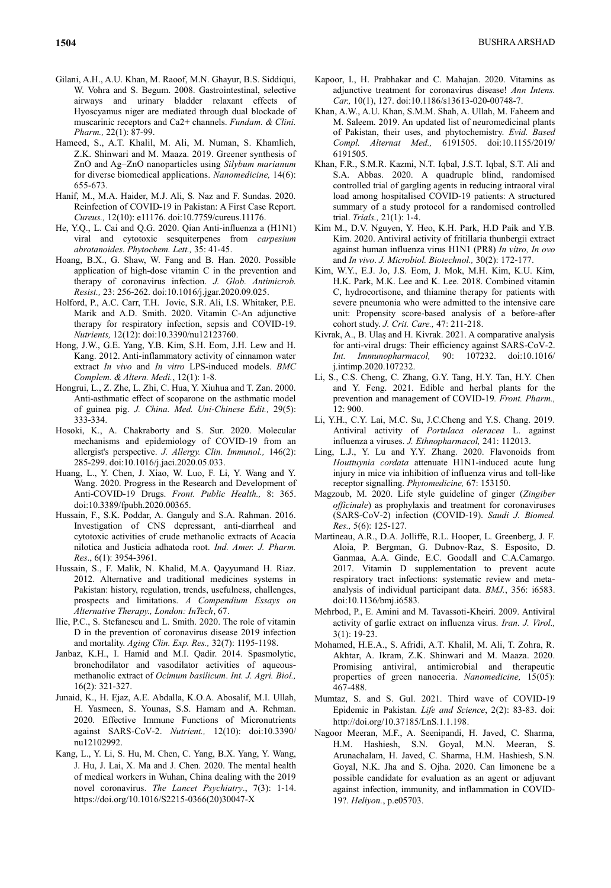- Gilani, A.H., A.U. Khan, M. Raoof, M.N. Ghayur, B.S. Siddiqui, W. Vohra and S. Begum. 2008. Gastrointestinal, selective airways and urinary bladder relaxant effects of Hyoscyamus niger are mediated through dual blockade of muscarinic receptors and Ca2+ channels. *Fundam. & Clini. Pharm.,* 22(1): 87-99.
- Hameed, S., A.T. Khalil, M. Ali, M. Numan, S. Khamlich, Z.K. Shinwari and M. Maaza. 2019. Greener synthesis of ZnO and Ag–ZnO nanoparticles using *Silybum marianum* for diverse biomedical applications. *Nanomedicine,* 14(6): 655-673.
- Hanif, M., M.A. Haider, M.J. Ali, S. Naz and F. Sundas. 2020. Reinfection of COVID-19 in Pakistan: A First Case Report. *Cureus.,* 12(10): e11176. doi:10.7759/cureus.11176.
- He, Y.Q., L. Cai and Q.G. 2020. Qian Anti-influenza a (H1N1) viral and cytotoxic sesquiterpenes from *carpesium abrotanoides*. *Phytochem. Lett.,* 35: 41-45.
- Hoang, B.X., G. Shaw, W. Fang and B. Han. 2020. Possible application of high-dose vitamin C in the prevention and therapy of coronavirus infection. *J. Glob. Antimicrob. Resist.,* 23: 256-262. doi:10.1016/j.jgar.2020.09.025.
- Holford, P., A.C. Carr, T.H. Jovic, S.R. Ali, I.S. Whitaker, P.E. Marik and A.D. Smith. 2020. Vitamin C-An adjunctive therapy for respiratory infection, sepsis and COVID-19. *Nutrients,* 12(12): doi:10.3390/nu12123760.
- Hong, J.W., G.E. Yang, Y.B. Kim, S.H. Eom, J.H. Lew and H. Kang. 2012. Anti-inflammatory activity of cinnamon water extract *In vivo* and *In vitro* LPS-induced models. *BMC Complem. & Altern. Medi.*, 12(1): 1-8.
- Hongrui, L., Z. Zhe, L. Zhi, C. Hua, Y. Xiuhua and T. Zan. 2000. Anti-asthmatic effect of scoparone on the asthmatic model of guinea pig. *J. China. Med. Uni-Chinese Edit.,* 29(5): 333-334.
- Hosoki, K., A. Chakraborty and S. Sur. 2020. Molecular mechanisms and epidemiology of COVID-19 from an allergist's perspective. *J. Allergy. Clin. Immunol.,* 146(2): 285-299. doi:10.1016/j.jaci.2020.05.033.
- Huang, L., Y. Chen, J. Xiao, W. Luo, F. Li, Y. Wang and Y. Wang. 2020. Progress in the Research and Development of Anti-COVID-19 Drugs. *Front. Public Health.,* 8: 365. doi:10.3389/fpubh.2020.00365.
- Hussain, F., S.K. Poddar, A. Ganguly and S.A. Rahman. 2016. Investigation of CNS depressant, anti-diarrheal and cytotoxic activities of crude methanolic extracts of Acacia nilotica and Justicia adhatoda root. *Ind. Amer. J. Pharm. Res*., 6(1): 3954-3961.
- Hussain, S., F. Malik, N. Khalid, M.A. Qayyumand H. Riaz. 2012. Alternative and traditional medicines systems in Pakistan: history, regulation, trends, usefulness, challenges, prospects and limitations. *A Compendium Essays on Alternative Therapy., London: InTech*, 67.
- Ilie, P.C., S. Stefanescu and L. Smith. 2020. The role of vitamin D in the prevention of coronavirus disease 2019 infection and mortality. *Aging Clin. Exp. Res.,* 32(7): 1195-1198.
- Janbaz, K.H., I. Hamid and M.I. Qadir. 2014. Spasmolytic, bronchodilator and vasodilator activities of aqueousmethanolic extract of *Ocimum basilicum*. *Int. J. Agri. Biol.,*  16(2): 321-327.
- Junaid, K., H. Ejaz, A.E. Abdalla, K.O.A. Abosalif, M.I. Ullah, H. Yasmeen, S. Younas, S.S. Hamam and A. Rehman. 2020. Effective Immune Functions of Micronutrients against SARS-CoV-2. *Nutrient.,* 12(10): doi:10.3390/ nu12102992.
- Kang, L., Y. Li, S. Hu, M. Chen, C. Yang, B.X. Yang, Y. Wang, J. Hu, J. Lai, X. Ma and J. Chen. 2020. The mental health of medical workers in Wuhan, China dealing with the 2019 novel coronavirus. *The Lancet Psychiatry*., 7(3): 1-14. https://doi.org/10.1016/S2215-0366(20)30047-X
- Kapoor, I., H. Prabhakar and C. Mahajan. 2020. Vitamins as adjunctive treatment for coronavirus disease! *Ann Intens. Car.,* 10(1), 127. doi:10.1186/s13613-020-00748-7.
- Khan, A.W., A.U. Khan, S.M.M. Shah, A. Ullah, M. Faheem and M. Saleem. 2019. An updated list of neuromedicinal plants of Pakistan, their uses, and phytochemistry. *Evid. Based Compl. Alternat Med.,* 6191505. doi:10.1155/2019/ 6191505.
- Khan, F.R., S.M.R. Kazmi, N.T. Iqbal, J.S.T. Iqbal, S.T. Ali and S.A. Abbas. 2020. A quadruple blind, randomised controlled trial of gargling agents in reducing intraoral viral load among hospitalised COVID-19 patients: A structured summary of a study protocol for a randomised controlled trial. *Trials.,* 21(1): 1-4.
- Kim M., D.V. Nguyen, Y. Heo, K.H. Park, H.D Paik and Y.B. Kim. 2020. Antiviral activity of fritillaria thunbergii extract against human influenza virus H1N1 (PR8) *In vitro, In ovo*  and *In vivo*. *J. Microbiol. Biotechnol.,* 30(2): 172-177.
- Kim, W.Y., E.J. Jo, J.S. Eom, J. Mok, M.H. Kim, K.U. Kim, H.K. Park, M.K. Lee and K. Lee. 2018. Combined vitamin C, hydrocortisone, and thiamine therapy for patients with severe pneumonia who were admitted to the intensive care unit: Propensity score-based analysis of a before-after cohort study. *J. Crit. Care.,* 47: 211-218.
- Kivrak, A., B. Ulaş and H. Kivrak. 2021. A comparative analysis for anti-viral drugs: Their efficiency against SARS-CoV-2. *Int. Immunopharmacol,* 90: 107232. doi:10.1016/ j.intimp.2020.107232.
- Li, S., C.S. Cheng, C. Zhang, G.Y. Tang, H.Y. Tan, H.Y. Chen and Y. Feng. 2021. Edible and herbal plants for the prevention and management of COVID-19*. Front. Pharm.,*  12: 900.
- Li, Y.H., C.Y. Lai, M.C. Su, J.C.Cheng and Y.S. Chang. 2019. Antiviral activity of *Portulaca oleracea* L. against influenza a viruses. *J. Ethnopharmacol,* 241: 112013.
- Ling, L.J., Y. Lu and Y.Y. Zhang. 2020. Flavonoids from *Houttuynia cordata* attenuate H1N1-induced acute lung injury in mice via inhibition of influenza virus and toll-like receptor signalling. *Phytomedicine,* 67: 153150.
- Magzoub, M. 2020. Life style guideline of ginger (*Zingiber officinale*) as prophylaxis and treatment for coronaviruses (SARS-CoV-2) infection (COVID-19). *Saudi J. Biomed. Res.,* 5(6): 125-127.
- Martineau, A.R., D.A. Jolliffe, R.L. Hooper, L. Greenberg, J. F. Aloia, P. Bergman, G. Dubnov-Raz, S. Esposito, D. Ganmaa, A.A. Ginde, E.C. Goodall and C.A.Camargo. 2017. Vitamin D supplementation to prevent acute respiratory tract infections: systematic review and metaanalysis of individual participant data. *BMJ.*, 356: i6583. doi:10.1136/bmj.i6583.
- Mehrbod, P., E. Amini and M. Tavassoti-Kheiri. 2009. Antiviral activity of garlic extract on influenza virus. *Iran. J. Virol.,*  3(1): 19-23.
- Mohamed, H.E.A., S. Afridi, A.T. Khalil, M. Ali, T. Zohra, R. Akhtar, A. Ikram, Z.K. Shinwari and M. Maaza. 2020. Promising antiviral, antimicrobial and therapeutic properties of green nanoceria. *Nanomedicine,* 15(05): 467-488.
- Mumtaz, S. and S. Gul. 2021. Third wave of COVID-19 Epidemic in Pakistan. *Life and Science*, 2(2): 83-83. doi: http://doi.org/10.37185/LnS.1.1.198.
- Nagoor Meeran, M.F., A. Seenipandi, H. Javed, C. Sharma, H.M. Hashiesh, S.N. Goyal, M.N. Meeran, S. Arunachalam, H. Javed, C. Sharma, H.M. Hashiesh, S.N. Goyal, N.K. Jha and S. Ojha. 2020. Can limonene be a possible candidate for evaluation as an agent or adjuvant against infection, immunity, and inflammation in COVID-19?. *Heliyon.*, p.e05703.